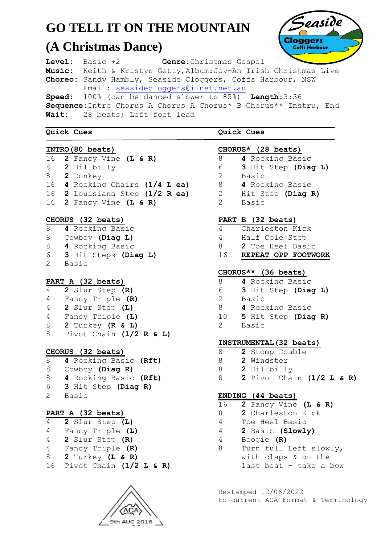# **GO TELL IT ON THE MOUNTAIN**

## **(A Christmas Dance)**



**Level:** Basic +2 **Genre**:Christmas Gospel **Music:** Keith & Kristyn Getty,Album:Joy–An Irish Christmas Live **Choreo:** Sandy Hambly, Seaside Cloggers, Coffs Harbour, NSW Email: [seasidecloggers@iinet.net.au](mailto:seasidecloggers@iinet.net.au)

**Speed:** 100% (can be danced slower to 85%) **Length:**3:36 **Sequence:**Intro Chorus A Chorus A Chorus\* B Chorus\*\* Instru, End **Wait:** 28 beats; Left foot lead

#### **Quick Cues**

#### **INTRO(80 beats)**

 **2** Fancy Vine **(L & R) 2** Hillbilly  **2** Donkey  **4** Rocking Chairs **(1/4 L ea) 2** Louisiana Step **(1/2 R ea) 2** Fancy Vine **(L & R)**

### **CHORUS (32 beats)**

8 **4** Rocking Basic 8 Cowboy **(Diag L)** 8 **4** Rocking Basic 6 **3** Hit Steps **(Diag L)** 2Basic

### **PART A (32 beats)**

| 4 | 2 Slur Step (R)                 |
|---|---------------------------------|
| 4 | Fancy Triple (R)                |
| 4 | 2 Slur Step (L)                 |
| 4 | Fancy Triple (L)                |
| 8 | 2 Turkey $(R & L)$              |
| 8 | Pivot Chain $(1/2 \ R \ S \ L)$ |

### **CHORUS (32 beats)**

| 8  | 4 Rocking Basic (Rft) |
|----|-----------------------|
| 8  | Cowboy (Diag R)       |
| 8  | 4 Rocking Basic (Rft) |
| 6  | 3 Hit Step (Diag R)   |
| 2. | Basic                 |

### **PART A (32 beats)**

| 4  | 2 Slur Step (L)           |
|----|---------------------------|
| 4  | Fancy Triple (L)          |
| 4  | 2 Slur Step (R)           |
| 4  | Fancy Triple (R)          |
| 8  | 2 Turkey (L & R)          |
| 16 | Pivot Chain $(1/2 L & R)$ |



**Quick Cues**

### **CHORUS\* (28 beats)**

- 8 **4** Rocking Basic
- 6 **3** Hit Step **(Diag L)**
- 2 Basic

2 Basic

- 8 **4** Rocking Basic
- 2 Hit Step **(Diag R)**

- **PART B (32 beats)**
- 4 Charleston Kick
- 4 Half Cole Step
- 8 **2** Toe Heel Basic
- 16 **REPEAT OPP FOOTWORK**

### **CHORUS\*\* (36 beats)**

- 8 **4** Rocking Basic
- 6 **3** Hit Step **(Diag L)**
- 2 Basic
- 8 **4** Rocking Basic
- 10 **5** Hit Step **(Diag R)**
- 2 Basic

### **INSTRUMENTAL(32 beats)**

- 8 **2** Stomp Double
- 8 **2** Windster
- 8 **2** Hillbilly
- 8 **2** Pivot Chain **(1/2 L & R)**

### **ENDING (44 beats)**

- 16 **2** Fancy Vine **(L & R)**
- 8 **2** Charleston Kick
- 4 Toe Heel Basic
- 4 **2** Basic **(Slowly)**
- 4 Boogie **(R)**
- 8 Turn full Left slowly, with claps & on the last beat - take a bow

Restamped 12/06/2022 to current ACA Format & Terminology